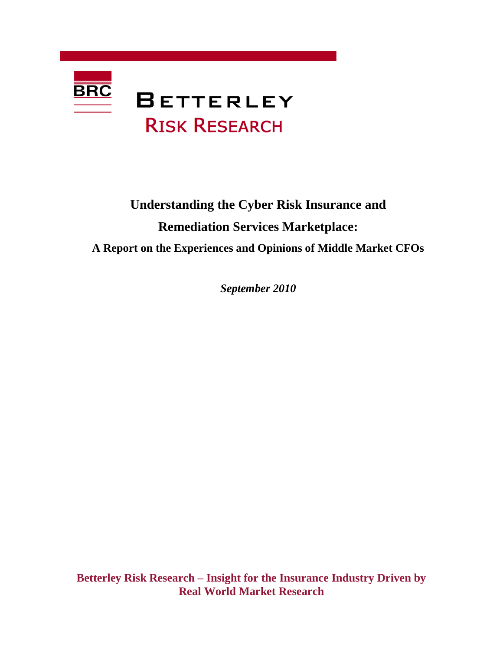

# **Understanding the Cyber Risk Insurance and Remediation Services Marketplace: A Report on the Experiences and Opinions of Middle Market CFOs**

*September 2010*

**Betterley Risk Research – Insight for the Insurance Industry Driven by Real World Market Research**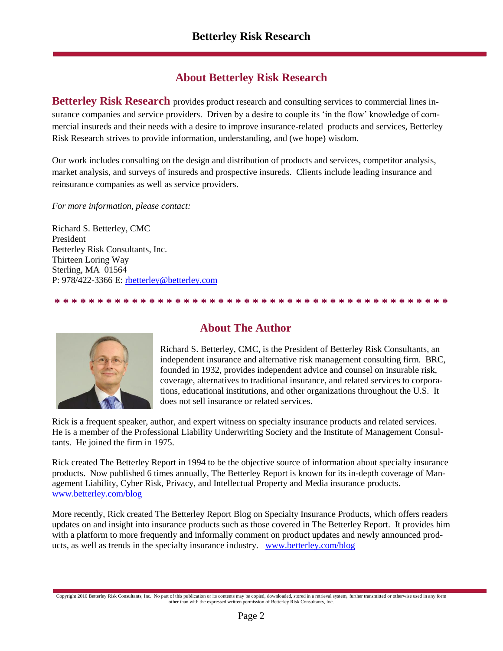### **About Betterley Risk Research**

**Betterley Risk Research** provides product research and consulting services to commercial lines insurance companies and service providers. Driven by a desire to couple its "in the flow" knowledge of commercial insureds and their needs with a desire to improve insurance-related products and services, Betterley Risk Research strives to provide information, understanding, and (we hope) wisdom.

Our work includes consulting on the design and distribution of products and services, competitor analysis, market analysis, and surveys of insureds and prospective insureds. Clients include leading insurance and reinsurance companies as well as service providers.

*For more information, please contact:*

Richard S. Betterley, CMC President Betterley Risk Consultants, Inc. Thirteen Loring Way Sterling, MA 01564 P: 978/422-3366 E: [rbetterley@betterley.com](file:///C:/RSB/Word%20Documents/Client/Market%20Research%20Studies/rbetterley@betterley.com)

**\* \* \* \* \* \* \* \* \* \* \* \* \* \* \* \* \* \* \* \* \* \* \* \* \* \* \* \* \* \* \* \* \* \* \* \* \* \* \* \* \* \* \* \* \* \***



#### **About The Author**

Richard S. Betterley, CMC, is the President of Betterley Risk Consultants, an independent insurance and alternative risk management consulting firm. BRC, founded in 1932, provides independent advice and counsel on insurable risk, coverage, alternatives to traditional insurance, and related services to corporations, educational institutions, and other organizations throughout the U.S. It does not sell insurance or related services.

Rick is a frequent speaker, author, and expert witness on specialty insurance products and related services. He is a member of the Professional Liability Underwriting Society and the Institute of Management Consultants. He joined the firm in 1975.

Rick created The Betterley Report in 1994 to be the objective source of information about specialty insurance products. Now published 6 times annually, The Betterley Report is known for its in-depth coverage of Management Liability, Cyber Risk, Privacy, and Intellectual Property and Media insurance products. [www.betterley.com/blog](http://thebetterleyreport.wordpress.com/)

More recently, Rick created The Betterley Report Blog on Specialty Insurance Products, which offers readers updates on and insight into insurance products such as those covered in The Betterley Report. It provides him with a platform to more frequently and informally comment on product updates and newly announced products, as well as trends in the specialty insurance industry. [www.betterley.com/blog](http://betterley.com/)

Copyright 2010 Betterley Risk Consultants, Inc. No part of this publication or its contents may be copied, downloaded, stored in a retrieval system, further transmitted or otherwise used in any form other than with the expressed written permission of Betterley Risk Consultants, Inc.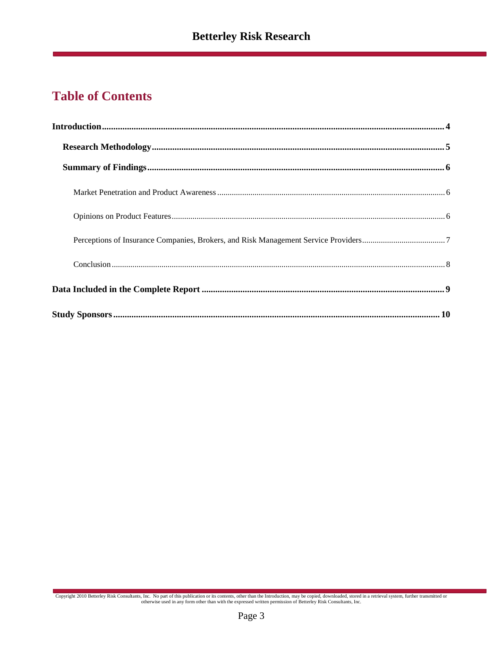## **Table of Contents**

Copyright 2010 Betterley Risk Consultants, Inc. No part of this publication or its contents, other than the Introduction, may be copied, downloaded, stored in a retrieval system, further transmitted or otherwise used in an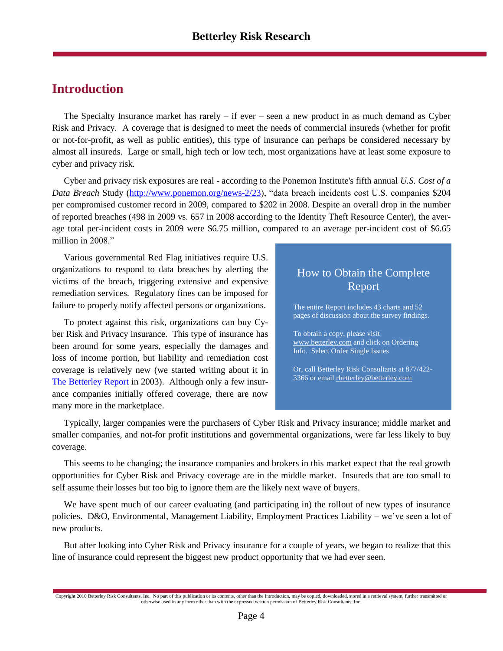### <span id="page-3-0"></span>**Introduction**

The Specialty Insurance market has rarely  $-$  if ever  $-$  seen a new product in as much demand as Cyber Risk and Privacy. A coverage that is designed to meet the needs of commercial insureds (whether for profit or not-for-profit, as well as public entities), this type of insurance can perhaps be considered necessary by almost all insureds. Large or small, high tech or low tech, most organizations have at least some exposure to cyber and privacy risk.

Cyber and privacy risk exposures are real - according to the Ponemon Institute's fifth annual *U.S. Cost of a Data Breach* Study [\(http://www.ponemon.org/news-2/23\)](http://www.ponemon.org/news-2/23), "data breach incidents cost U.S. companies \$204 per compromised customer record in 2009, compared to \$202 in 2008. Despite an overall drop in the number of reported breaches (498 in 2009 vs. 657 in 2008 according to the Identity Theft Resource Center), the average total per-incident costs in 2009 were \$6.75 million, compared to an average per-incident cost of \$6.65 million in 2008."

Various governmental Red Flag initiatives require U.S. organizations to respond to data breaches by alerting the victims of the breach, triggering extensive and expensive remediation services. Regulatory fines can be imposed for failure to properly notify affected persons or organizations.

To protect against this risk, organizations can buy Cyber Risk and Privacy insurance. This type of insurance has been around for some years, especially the damages and loss of income portion, but liability and remediation cost coverage is relatively new (we started writing about it in [The Betterley Report](http://betterley.com/) in 2003). Although only a few insurance companies initially offered coverage, there are now many more in the marketplace.

### How to Obtain the Complete Report

The entire Report includes 43 charts and 52 pages of discussion about the survey findings.

To obtain a copy, please visit [www.betterley.com](https://secure25.securewebsession.com/betterley.com/issues.php) and click on Ordering Info. Select Order Single Issues

Or, call Betterley Risk Consultants at 877/422- 3366 or emai[l rbetterley@betterley.com](file:///C:/RSB/Word%20Documents/Client/Market%20Research%20Studies/rbetterley@betterley.com)

Typically, larger companies were the purchasers of Cyber Risk and Privacy insurance; middle market and smaller companies, and not-for profit institutions and governmental organizations, were far less likely to buy coverage.

This seems to be changing; the insurance companies and brokers in this market expect that the real growth opportunities for Cyber Risk and Privacy coverage are in the middle market. Insureds that are too small to self assume their losses but too big to ignore them are the likely next wave of buyers.

We have spent much of our career evaluating (and participating in) the rollout of new types of insurance policies. D&O, Environmental, Management Liability, Employment Practices Liability – we"ve seen a lot of new products.

But after looking into Cyber Risk and Privacy insurance for a couple of years, we began to realize that this line of insurance could represent the biggest new product opportunity that we had ever seen.

Copyright 2010 Betterley Risk Consultants, Inc. No part of this publication or its contents, other than the Introduction, may be copied, downloaded, stored in a retrieval system, further transmitted or otherwise used in any form other than with the expressed written permission of Betterley Risk Consultants, Inc.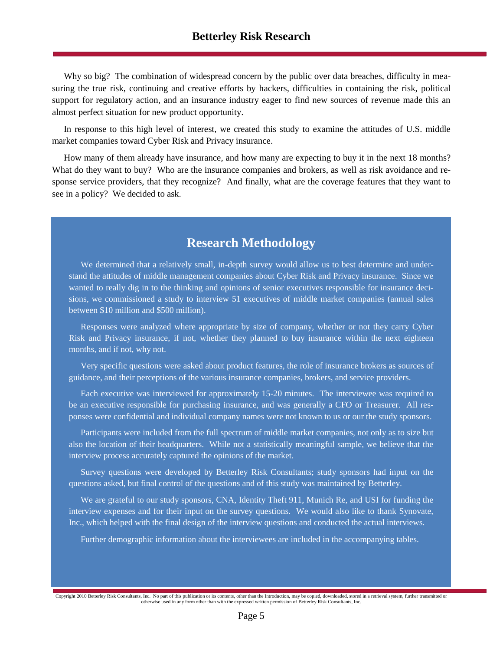Why so big? The combination of widespread concern by the public over data breaches, difficulty in measuring the true risk, continuing and creative efforts by hackers, difficulties in containing the risk, political support for regulatory action, and an insurance industry eager to find new sources of revenue made this an almost perfect situation for new product opportunity.

In response to this high level of interest, we created this study to examine the attitudes of U.S. middle market companies toward Cyber Risk and Privacy insurance.

How many of them already have insurance, and how many are expecting to buy it in the next 18 months? What do they want to buy? Who are the insurance companies and brokers, as well as risk avoidance and response service providers, that they recognize? And finally, what are the coverage features that they want to see in a policy? We decided to ask.

### **Research Methodology**

We determined that a relatively small, in-depth survey would allow us to best determine and understand the attitudes of middle management companies about Cyber Risk and Privacy insurance. Since we wanted to really dig in to the thinking and opinions of senior executives responsible for insurance decisions, we commissioned a study to interview 51 executives of middle market companies (annual sales between \$10 million and \$500 million).

Responses were analyzed where appropriate by size of company, whether or not they carry Cyber Risk and Privacy insurance, if not, whether they planned to buy insurance within the next eighteen months, and if not, why not.

Very specific questions were asked about product features, the role of insurance brokers as sources of guidance, and their perceptions of the various insurance companies, brokers, and service providers.

Each executive was interviewed for approximately 15-20 minutes. The interviewee was required to be an executive responsible for purchasing insurance, and was generally a CFO or Treasurer. All responses were confidential and individual company names were not known to us or our the study sponsors.

Participants were included from the full spectrum of middle market companies, not only as to size but also the location of their headquarters. While not a statistically meaningful sample, we believe that the interview process accurately captured the opinions of the market.

Survey questions were developed by Betterley Risk Consultants; study sponsors had input on the questions asked, but final control of the questions and of this study was maintained by Betterley.

We are grateful to our study sponsors, CNA, Identity Theft 911, Munich Re, and USI for funding the interview expenses and for their input on the survey questions. We would also like to thank Synovate, Inc., which helped with the final design of the interview questions and conducted the actual interviews.

Further demographic information about the interviewees are included in the accompanying tables.

Copyright 2010 Betterley Risk Consultants, Inc. No part of this publication or its contents, other than the Introduction, may be copied, downloaded, stored in a retrieval system, further transmitted or otherwise used in any form other than with the expressed written permission of Betterley Risk Consultants, Inc.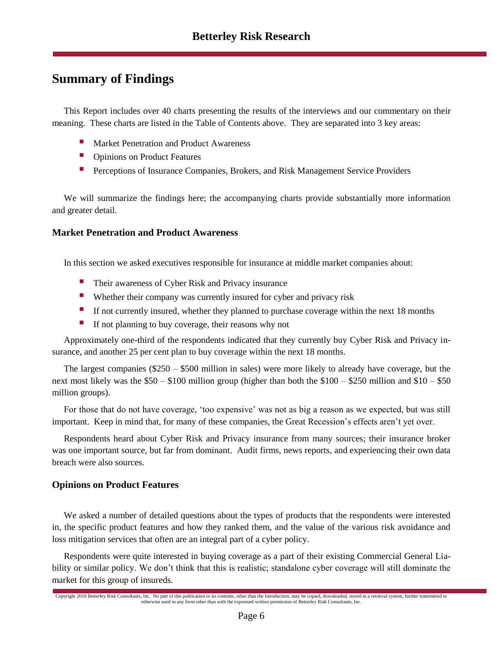### <span id="page-5-0"></span>**Summary of Findings**

This Report includes over 40 charts presenting the results of the interviews and our commentary on their meaning. These charts are listed in the Table of Contents above. They are separated into 3 key areas:

- Market Penetration and Product Awareness
- **Dependence I** Opinions on Product Features
- Perceptions of Insurance Companies, Brokers, and Risk Management Service Providers

We will summarize the findings here; the accompanying charts provide substantially more information and greater detail.

#### <span id="page-5-1"></span>**Market Penetration and Product Awareness**

In this section we asked executives responsible for insurance at middle market companies about:

- **Their awareness of Cyber Risk and Privacy insurance**
- Whether their company was currently insured for cyber and privacy risk
- If not currently insured, whether they planned to purchase coverage within the next 18 months
- If not planning to buy coverage, their reasons why not

Approximately one-third of the respondents indicated that they currently buy Cyber Risk and Privacy insurance, and another 25 per cent plan to buy coverage within the next 18 months.

The largest companies (\$250 – \$500 million in sales) were more likely to already have coverage, but the next most likely was the \$50 – \$100 million group (higher than both the \$100 – \$250 million and \$10 – \$50 million groups).

For those that do not have coverage, "too expensive" was not as big a reason as we expected, but was still important. Keep in mind that, for many of these companies, the Great Recession's effects aren't yet over.

Respondents heard about Cyber Risk and Privacy insurance from many sources; their insurance broker was one important source, but far from dominant. Audit firms, news reports, and experiencing their own data breach were also sources.

#### <span id="page-5-2"></span>**Opinions on Product Features**

We asked a number of detailed questions about the types of products that the respondents were interested in, the specific product features and how they ranked them, and the value of the various risk avoidance and loss mitigation services that often are an integral part of a cyber policy.

Respondents were quite interested in buying coverage as a part of their existing Commercial General Liability or similar policy. We don"t think that this is realistic; standalone cyber coverage will still dominate the market for this group of insureds.

Copyright 2010 Betterley Risk Consultants, Inc. No part of this publication or its contents, other than the Introduction, may be copied, downloaded, stored in a retrieval system, further transmitted or otherwise used in any form other than with the expressed written permission of Betterley Risk Consultants, Inc.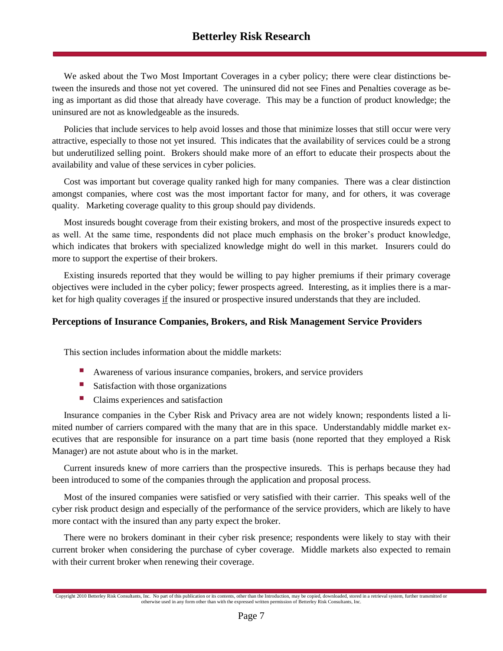We asked about the Two Most Important Coverages in a cyber policy; there were clear distinctions between the insureds and those not yet covered. The uninsured did not see Fines and Penalties coverage as being as important as did those that already have coverage. This may be a function of product knowledge; the uninsured are not as knowledgeable as the insureds.

Policies that include services to help avoid losses and those that minimize losses that still occur were very attractive, especially to those not yet insured. This indicates that the availability of services could be a strong but underutilized selling point. Brokers should make more of an effort to educate their prospects about the availability and value of these services in cyber policies.

Cost was important but coverage quality ranked high for many companies. There was a clear distinction amongst companies, where cost was the most important factor for many, and for others, it was coverage quality. Marketing coverage quality to this group should pay dividends.

Most insureds bought coverage from their existing brokers, and most of the prospective insureds expect to as well. At the same time, respondents did not place much emphasis on the broker"s product knowledge, which indicates that brokers with specialized knowledge might do well in this market. Insurers could do more to support the expertise of their brokers.

Existing insureds reported that they would be willing to pay higher premiums if their primary coverage objectives were included in the cyber policy; fewer prospects agreed. Interesting, as it implies there is a market for high quality coverages if the insured or prospective insured understands that they are included.

#### <span id="page-6-0"></span>**Perceptions of Insurance Companies, Brokers, and Risk Management Service Providers**

This section includes information about the middle markets:

- Awareness of various insurance companies, brokers, and service providers
- Satisfaction with those organizations
- **Claims experiences and satisfaction**

Insurance companies in the Cyber Risk and Privacy area are not widely known; respondents listed a limited number of carriers compared with the many that are in this space. Understandably middle market executives that are responsible for insurance on a part time basis (none reported that they employed a Risk Manager) are not astute about who is in the market.

Current insureds knew of more carriers than the prospective insureds. This is perhaps because they had been introduced to some of the companies through the application and proposal process.

Most of the insured companies were satisfied or very satisfied with their carrier. This speaks well of the cyber risk product design and especially of the performance of the service providers, which are likely to have more contact with the insured than any party expect the broker.

There were no brokers dominant in their cyber risk presence; respondents were likely to stay with their current broker when considering the purchase of cyber coverage. Middle markets also expected to remain with their current broker when renewing their coverage.

Copyright 2010 Betterley Risk Consultants, Inc. No part of this publication or its contents, other than the Introduction, may be copied, downloaded, stored in a retrieval system, further transmitted or otherwise used in any form other than with the expressed written permission of Betterley Risk Consultants, Inc.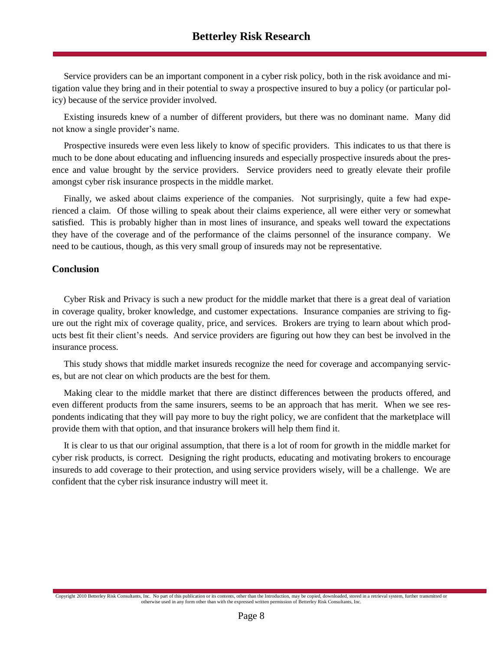Service providers can be an important component in a cyber risk policy, both in the risk avoidance and mitigation value they bring and in their potential to sway a prospective insured to buy a policy (or particular policy) because of the service provider involved.

Existing insureds knew of a number of different providers, but there was no dominant name. Many did not know a single provider's name.

Prospective insureds were even less likely to know of specific providers. This indicates to us that there is much to be done about educating and influencing insureds and especially prospective insureds about the presence and value brought by the service providers. Service providers need to greatly elevate their profile amongst cyber risk insurance prospects in the middle market.

Finally, we asked about claims experience of the companies. Not surprisingly, quite a few had experienced a claim. Of those willing to speak about their claims experience, all were either very or somewhat satisfied. This is probably higher than in most lines of insurance, and speaks well toward the expectations they have of the coverage and of the performance of the claims personnel of the insurance company. We need to be cautious, though, as this very small group of insureds may not be representative.

#### <span id="page-7-0"></span>**Conclusion**

Cyber Risk and Privacy is such a new product for the middle market that there is a great deal of variation in coverage quality, broker knowledge, and customer expectations. Insurance companies are striving to figure out the right mix of coverage quality, price, and services. Brokers are trying to learn about which products best fit their client"s needs. And service providers are figuring out how they can best be involved in the insurance process.

This study shows that middle market insureds recognize the need for coverage and accompanying services, but are not clear on which products are the best for them.

Making clear to the middle market that there are distinct differences between the products offered, and even different products from the same insurers, seems to be an approach that has merit. When we see respondents indicating that they will pay more to buy the right policy, we are confident that the marketplace will provide them with that option, and that insurance brokers will help them find it.

It is clear to us that our original assumption, that there is a lot of room for growth in the middle market for cyber risk products, is correct. Designing the right products, educating and motivating brokers to encourage insureds to add coverage to their protection, and using service providers wisely, will be a challenge. We are confident that the cyber risk insurance industry will meet it.

Copyright 2010 Betterley Risk Consultants, Inc. No part of this publication or its contents, other than the Introduction, may be copied, downloaded, stored in a retrieval system, further transmitted or otherwise used in any form other than with the expressed written permission of Betterley Risk Consultants, Inc.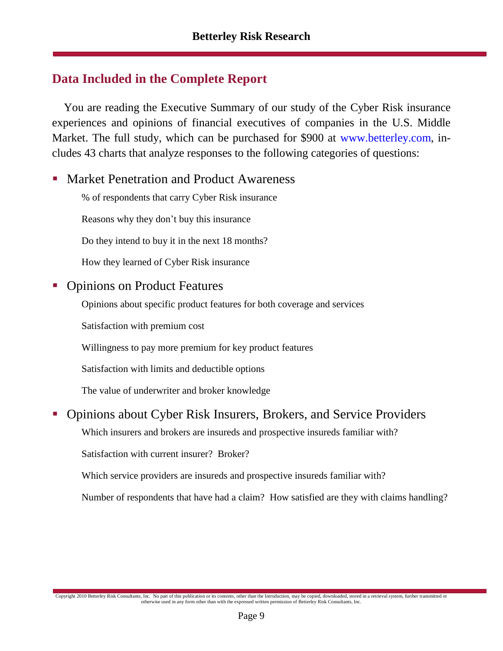### <span id="page-8-0"></span>**Data Included in the Complete Report**

You are reading the Executive Summary of our study of the Cyber Risk insurance experiences and opinions of financial executives of companies in the U.S. Middle Market. The full study, which can be purchased for \$900 at www.betterley.com, includes 43 charts that analyze responses to the following categories of questions:

- Market Penetration and Product Awareness
	- % of respondents that carry Cyber Risk insurance
	- Reasons why they don"t buy this insurance
	- Do they intend to buy it in the next 18 months?
	- How they learned of Cyber Risk insurance

### • Opinions on Product Features

- Opinions about specific product features for both coverage and services
- Satisfaction with premium cost
- Willingness to pay more premium for key product features
- Satisfaction with limits and deductible options
- The value of underwriter and broker knowledge

### Opinions about Cyber Risk Insurers, Brokers, and Service Providers

Which insurers and brokers are insureds and prospective insureds familiar with?

Satisfaction with current insurer? Broker?

Which service providers are insureds and prospective insureds familiar with?

Number of respondents that have had a claim? How satisfied are they with claims handling?

Copyright 2010 Betterley Risk Consultants, Inc. No part of this publication or its contents, other than the Introduction, may be copied, downloaded, stored in a retrieval system, further transmitted or otherwise used in any form other than with the expressed written permission of Betterley Risk Consultants, Inc.